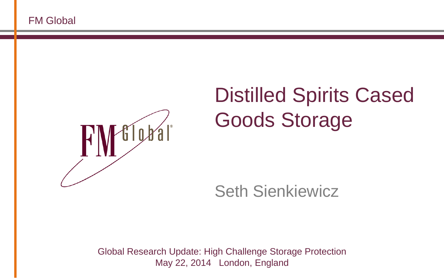

#### Distilled Spirits Cased Goods Storage

Seth Sienkiewicz

Global Research Update: High Challenge Storage Protection May 22, 2014 London, England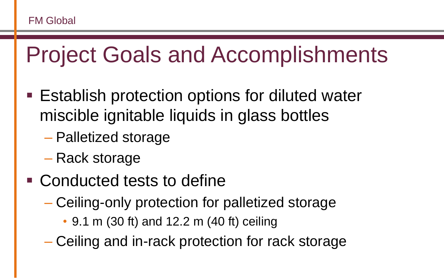## Project Goals and Accomplishments

- Establish protection options for diluted water miscible ignitable liquids in glass bottles
	- Palletized storage
	- Rack storage
- Conducted tests to define
	- Ceiling-only protection for palletized storage
		- 9.1 m (30 ft) and 12.2 m (40 ft) ceiling
	- Ceiling and in-rack protection for rack storage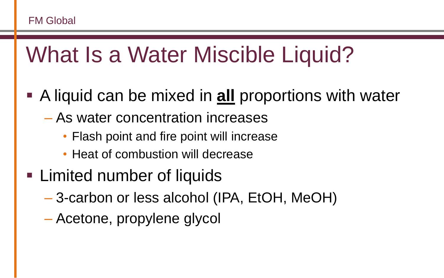## What Is a Water Miscible Liquid?

- A liquid can be mixed in **all** proportions with water
	- As water concentration increases
		- Flash point and fire point will increase
		- Heat of combustion will decrease
- **Example 1** Limited number of liquids
	- 3-carbon or less alcohol (IPA, EtOH, MeOH)
	- Acetone, propylene glycol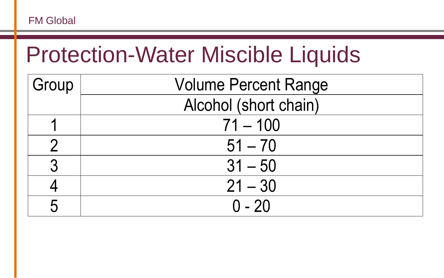#### Protection-Water Miscible Liquids

| Group | <b>Volume Percent Range</b> |  |  |
|-------|-----------------------------|--|--|
|       | Alcohol (short chain)       |  |  |
|       | $71 - 100$                  |  |  |
|       | $51 - 70$                   |  |  |
| 2     | $31 - 50$                   |  |  |
|       | $21 - 30$                   |  |  |
|       | $0 - 20$                    |  |  |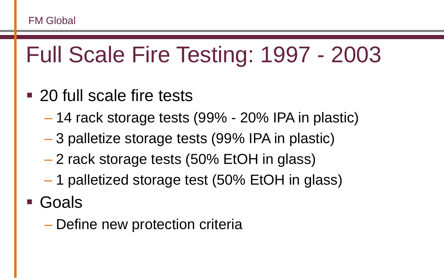## Full Scale Fire Testing: 1997 - 2003

- 20 full scale fire tests
	- 14 rack storage tests (99% 20% IPA in plastic)
	- 3 palletize storage tests (99% IPA in plastic)
	- 2 rack storage tests (50% EtOH in glass)
	- 1 palletized storage test (50% EtOH in glass)
- Goals
	- Define new protection criteria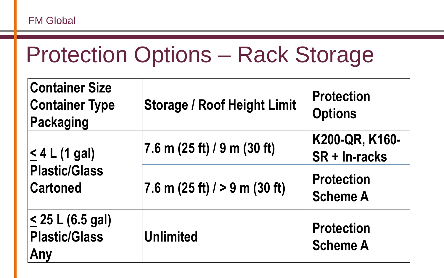### Protection Options – Rack Storage

| <b>Container Size</b><br><b>Container Type</b><br><b>Packaging</b> | <b>Storage / Roof Height Limit</b> | <b>Protection</b><br><b>Options</b>  |
|--------------------------------------------------------------------|------------------------------------|--------------------------------------|
| $\leq 4$ L (1 gal)                                                 | $7.6$ m (25 ft) / 9 m (30 ft)      | K200-QR, K160-<br>SR + In-racks      |
| <b>Plastic/Glass</b><br><b>Cartoned</b>                            | 7.6 m (25 ft) $/$ > 9 m (30 ft)    | <b>Protection</b><br><b>Scheme A</b> |
| $\leq$ 25 L (6.5 gal)<br><b>Plastic/Glass</b><br>Any               | <b>Unlimited</b>                   | <b>Protection</b><br><b>Scheme A</b> |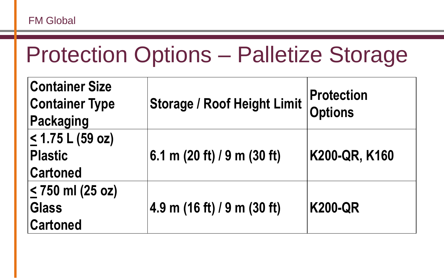#### Protection Options – Palletize Storage

| <b>Container Size</b><br><b>Container Type</b><br>Packaging    | <b>Storage / Roof Height Limit</b> | <b>Protection</b><br><b>Options</b> |
|----------------------------------------------------------------|------------------------------------|-------------------------------------|
| <u> &lt;</u> 1.75 L (59 oz)<br>Plastic<br><b>Cartoned</b>      | 6.1 m $(20 ft) / 9 m (30 ft)$      | K200-QR, K160                       |
| <u> &lt;</u> 750 ml (25 oz)<br><b>Glass</b><br><b>Cartoned</b> | 4.9 m (16 ft) / 9 m (30 ft)        | <b>K200-QR</b>                      |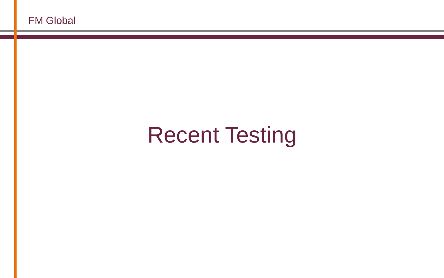# Recent Testing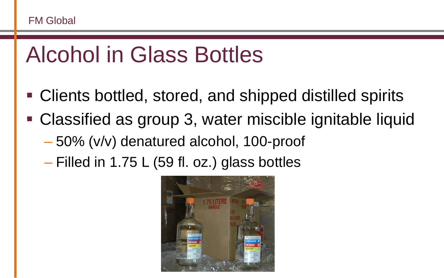#### Alcohol in Glass Bottles

- Clients bottled, stored, and shipped distilled spirits
- Classified as group 3, water miscible ignitable liquid
	- 50% (v/v) denatured alcohol, 100-proof
	- Filled in 1.75 L (59 fl. oz.) glass bottles

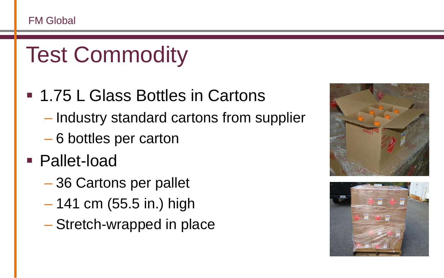# Test Commodity

#### ■ 1.75 L Glass Bottles in Cartons

- Industry standard cartons from supplier
- 6 bottles per carton
- Pallet-load
	- 36 Cartons per pallet
	- 141 cm (55.5 in.) high
	- Stretch-wrapped in place



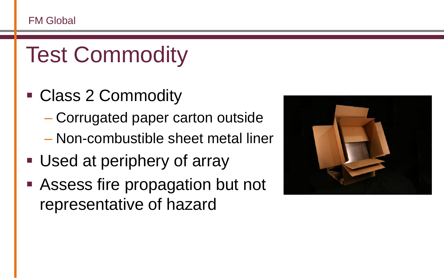# Test Commodity

- Class 2 Commodity
	- Corrugated paper carton outside
	- Non-combustible sheet metal liner
- **Used at periphery of array**
- Assess fire propagation but not representative of hazard

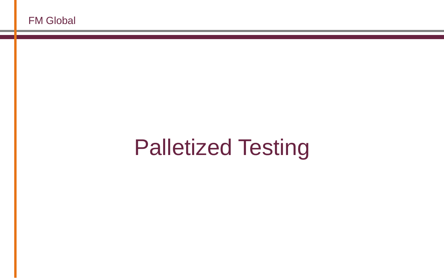## Palletized Testing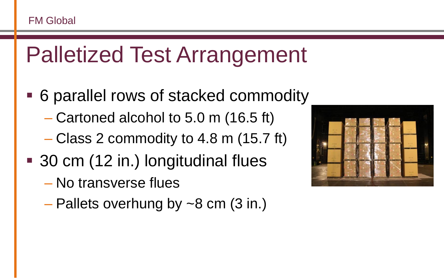## Palletized Test Arrangement

- 6 parallel rows of stacked commodity
	- Cartoned alcohol to 5.0 m (16.5 ft)
	- Class 2 commodity to 4.8 m (15.7 ft)
- 30 cm (12 in.) longitudinal flues
	- No transverse flues
	- $-$  Pallets overhung by  $\sim$ 8 cm (3 in.)

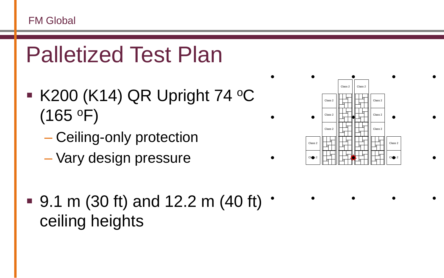

- $\blacktriangleright$  K200 (K14) QR Upright 74 °C  $(165 °F)$ 
	- Ceiling-only protection
	- Vary design pressure



 $\blacksquare$  9.1 m (30 ft) and 12.2 m (40 ft)  $\cdot$ ceiling heights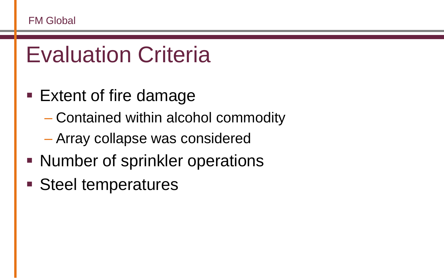## Evaluation Criteria

- Extent of fire damage
	- Contained within alcohol commodity
	- Array collapse was considered
- Number of sprinkler operations
- Steel temperatures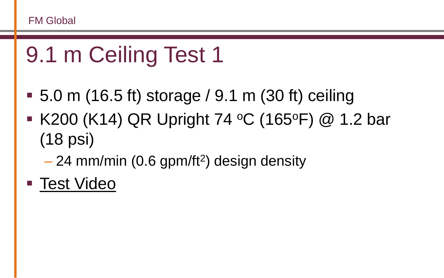## 9.1 m Ceiling Test 1

- 5.0 m (16.5 ft) storage / 9.1 m (30 ft) ceiling
- **K200 (K14) QR Upright 74 °C (165°F) @ 1.2 bar** (18 psi)
	- 24 mm/min (0.6 gpm/ft<sup>2</sup>) design density
- [Test Video](3048080 Test002 NFPA.wmv)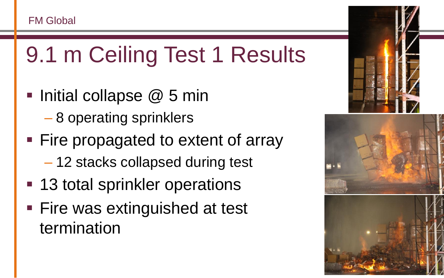## 9.1 m Ceiling Test 1 Results

- Initial collapse  $@$  5 min
	- 8 operating sprinklers
- **Fire propagated to extent of array** 
	- 12 stacks collapsed during test
- 13 total sprinkler operations
- **Fire was extinguished at test** termination

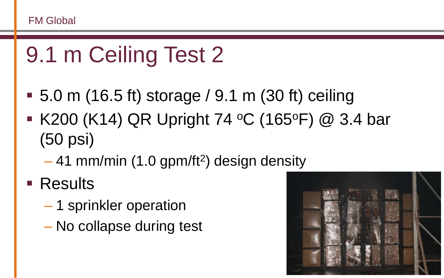## 9.1 m Ceiling Test 2

- 5.0 m (16.5 ft) storage / 9.1 m (30 ft) ceiling
- **K200 (K14) QR Upright 74 °C (165°F) @ 3.4 bar** (50 psi)
	- 41 mm/min (1.0 gpm/ft<sup>2</sup>) design density
- **Results** 
	- 1 sprinkler operation
	- No collapse during test

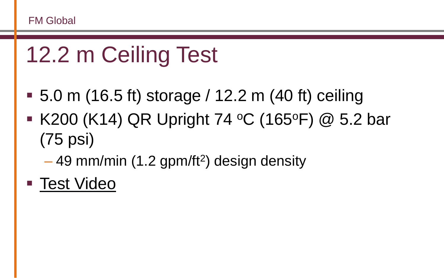# 12.2 m Ceiling Test

- 5.0 m (16.5 ft) storage / 12.2 m (40 ft) ceiling
- K200 (K14) QR Upright 74 °C (165°F) @ 5.2 bar (75 psi)
	- 49 mm/min (1.2 gpm/ft<sup>2</sup>) design density
- [Test Video](3048080 Test001 NFPA.wmv)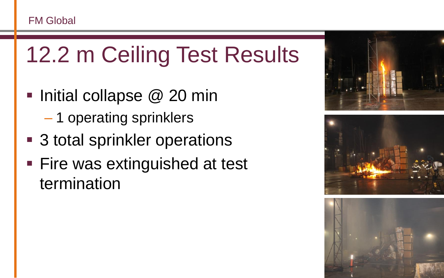# 12.2 m Ceiling Test Results

- Initial collapse  $@$  20 min
	- 1 operating sprinklers
- 3 total sprinkler operations
- **Fire was extinguished at test** termination





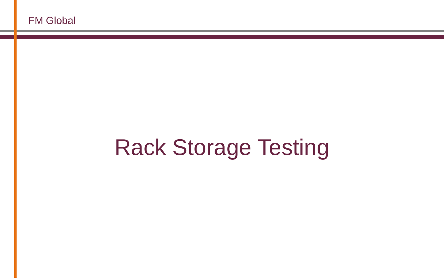# Rack Storage Testing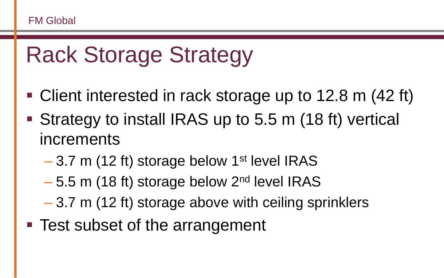## Rack Storage Strategy

- Client interested in rack storage up to 12.8 m (42 ft)
- Strategy to install IRAS up to 5.5 m (18 ft) vertical increments
	- $-3.7$  m (12 ft) storage below 1<sup>st</sup> level IRAS
	- $-5.5$  m (18 ft) storage below 2<sup>nd</sup> level IRAS
	- 3.7 m (12 ft) storage above with ceiling sprinklers
- Test subset of the arrangement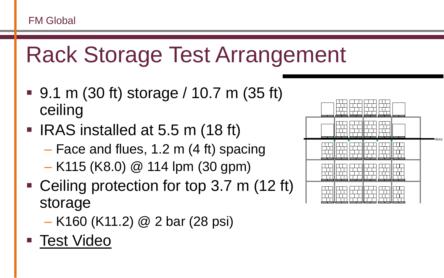## Rack Storage Test Arrangement

- 9.1 m (30 ft) storage / 10.7 m (35 ft) ceiling
- **IRAS** installed at 5.5 m (18 ft)
	- Face and flues, 1.2 m (4 ft) spacing
	- K115 (K8.0) @ 114 lpm (30 gpm)
- Ceiling protection for top 3.7 m (12 ft) storage
	- K160 (K11.2) @ 2 bar (28 psi)
- **[Test Video](3048080 Test004 NFPA.wmv)**

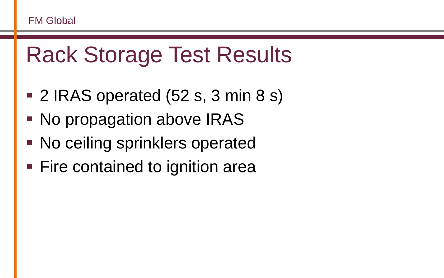#### Rack Storage Test Results

- 2 IRAS operated (52 s, 3 min 8 s)
- No propagation above IRAS
- **No ceiling sprinklers operated**
- Fire contained to ignition area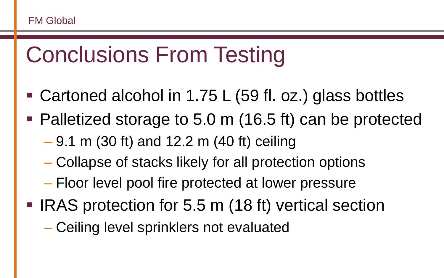## Conclusions From Testing

- Cartoned alcohol in 1.75 L (59 fl. oz.) glass bottles
- Palletized storage to 5.0 m (16.5 ft) can be protected
	- 9.1 m (30 ft) and 12.2 m (40 ft) ceiling
	- Collapse of stacks likely for all protection options
	- Floor level pool fire protected at lower pressure
- IRAS protection for 5.5 m (18 ft) vertical section
	- Ceiling level sprinklers not evaluated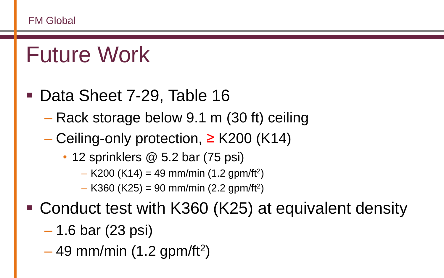#### Future Work

#### ■ Data Sheet 7-29, Table 16

- Rack storage below 9.1 m (30 ft) ceiling
- $-$  Ceiling-only protection, ≥ K200 (K14)
	- 12 sprinklers @ 5.2 bar (75 psi)
		- $-$  K200 (K14) = 49 mm/min (1.2 gpm/ft<sup>2</sup>)
		- $-$  K360 (K25) = 90 mm/min (2.2 gpm/ft<sup>2</sup>)
- Conduct test with K360 (K25) at equivalent density
	- 1.6 bar (23 psi)
	- $-49$  mm/min (1.2 gpm/ft<sup>2</sup>)